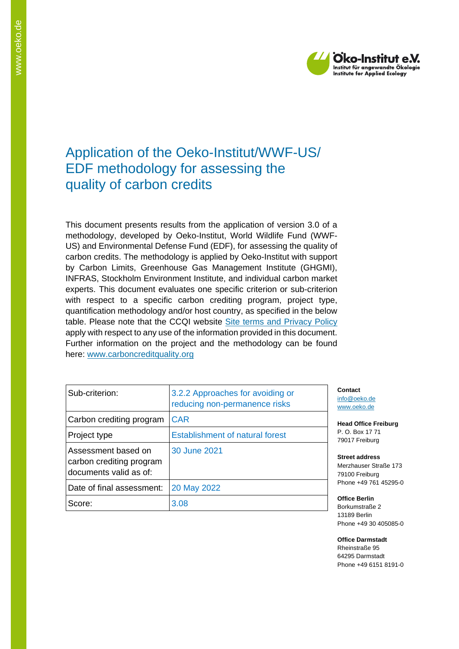

# Application of the Oeko-Institut/WWF-US/ EDF methodology for assessing the quality of carbon credits

This document presents results from the application of version 3.0 of a methodology, developed by Oeko-Institut, World Wildlife Fund (WWF-US) and Environmental Defense Fund (EDF), for assessing the quality of carbon credits. The methodology is applied by Oeko-Institut with support by Carbon Limits, Greenhouse Gas Management Institute (GHGMI), INFRAS, Stockholm Environment Institute, and individual carbon market experts. This document evaluates one specific criterion or sub-criterion with respect to a specific carbon crediting program, project type, quantification methodology and/or host country, as specified in the below table. Please note that the CCQI website [Site terms and Privacy Policy](https://carboncreditquality.org/terms.html) apply with respect to any use of the information provided in this document. Further information on the project and the methodology can be found here: [www.carboncreditquality.org](http://www.carboncreditquality.org/)

| Sub-criterion:                                                            | 3.2.2 Approaches for avoiding or<br>reducing non-permanence risks |
|---------------------------------------------------------------------------|-------------------------------------------------------------------|
| Carbon crediting program                                                  | <b>CAR</b>                                                        |
| Project type                                                              | <b>Establishment of natural forest</b>                            |
| Assessment based on<br>carbon crediting program<br>documents valid as of: | 30 June 2021                                                      |
| Date of final assessment:                                                 | 20 May 2022                                                       |
| Score:                                                                    | 3.08                                                              |

**Contact** [info@oeko.de](mailto:info@oeko.de) [www.oeko.de](http://www.oeko.de/)

**Head Office Freiburg** P. O. Box 17 71 79017 Freiburg

**Street address** Merzhauser Straße 173 79100 Freiburg Phone +49 761 45295-0

**Office Berlin** Borkumstraße 2 13189 Berlin Phone +49 30 405085-0

**Office Darmstadt** Rheinstraße 95 64295 Darmstadt Phone +49 6151 8191-0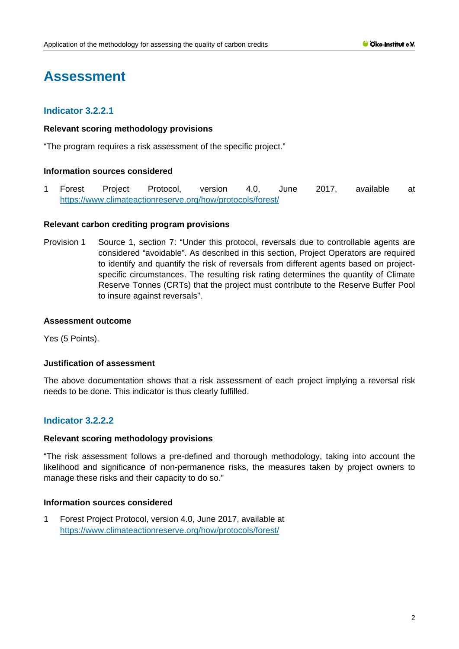# **Assessment**

# **Indicator 3.2.2.1**

#### **Relevant scoring methodology provisions**

"The program requires a risk assessment of the specific project."

#### **Information sources considered**

1 Forest Project Protocol, version 4.0, June 2017, available at <https://www.climateactionreserve.org/how/protocols/forest/>

#### **Relevant carbon crediting program provisions**

Provision 1 Source 1, section 7: "Under this protocol, reversals due to controllable agents are considered "avoidable". As described in this section, Project Operators are required to identify and quantify the risk of reversals from different agents based on projectspecific circumstances. The resulting risk rating determines the quantity of Climate Reserve Tonnes (CRTs) that the project must contribute to the Reserve Buffer Pool to insure against reversals".

#### **Assessment outcome**

Yes (5 Points).

#### **Justification of assessment**

The above documentation shows that a risk assessment of each project implying a reversal risk needs to be done. This indicator is thus clearly fulfilled.

# **Indicator 3.2.2.2**

#### **Relevant scoring methodology provisions**

"The risk assessment follows a pre-defined and thorough methodology, taking into account the likelihood and significance of non-permanence risks, the measures taken by project owners to manage these risks and their capacity to do so."

# **Information sources considered**

1 Forest Project Protocol, version 4.0, June 2017, available at <https://www.climateactionreserve.org/how/protocols/forest/>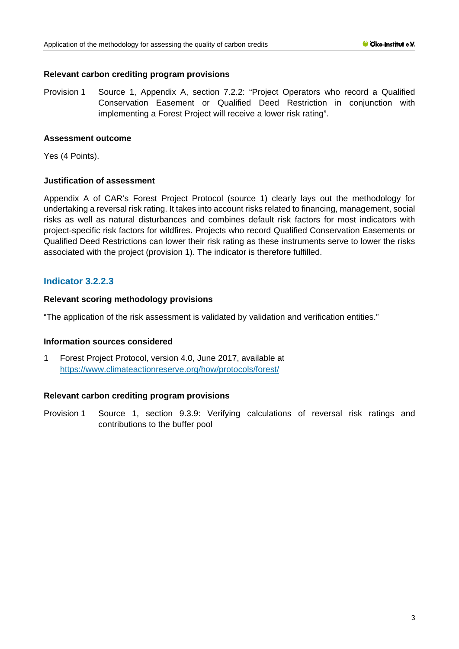## **Relevant carbon crediting program provisions**

Provision 1 Source 1, Appendix A, section 7.2.2: "Project Operators who record a Qualified Conservation Easement or Qualified Deed Restriction in conjunction with implementing a Forest Project will receive a lower risk rating".

### **Assessment outcome**

Yes (4 Points).

### **Justification of assessment**

Appendix A of CAR's Forest Project Protocol (source 1) clearly lays out the methodology for undertaking a reversal risk rating. It takes into account risks related to financing, management, social risks as well as natural disturbances and combines default risk factors for most indicators with project-specific risk factors for wildfires. Projects who record Qualified Conservation Easements or Qualified Deed Restrictions can lower their risk rating as these instruments serve to lower the risks associated with the project (provision 1). The indicator is therefore fulfilled.

# **Indicator 3.2.2.3**

### **Relevant scoring methodology provisions**

"The application of the risk assessment is validated by validation and verification entities."

#### **Information sources considered**

1 Forest Project Protocol, version 4.0, June 2017, available at <https://www.climateactionreserve.org/how/protocols/forest/>

# **Relevant carbon crediting program provisions**

Provision 1 Source 1, section 9.3.9: Verifying calculations of reversal risk ratings and contributions to the buffer pool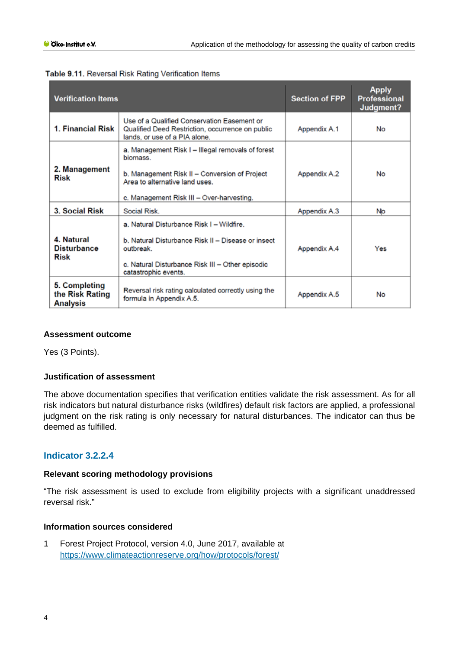| <b>Verification Items</b>                           |                                                                                                                                                                                               | <b>Section of FPP</b> | <b>Apply</b><br><b>Professional</b><br>Judgment? |
|-----------------------------------------------------|-----------------------------------------------------------------------------------------------------------------------------------------------------------------------------------------------|-----------------------|--------------------------------------------------|
| 1. Financial Risk                                   | Use of a Qualified Conservation Easement or<br>Qualified Deed Restriction, occurrence on public<br>lands, or use of a PIA alone.                                                              | Appendix A.1          | <b>No</b>                                        |
| 2. Management<br>Risk                               | a. Management Risk I - Illegal removals of forest<br>biomass.<br>b. Management Risk II – Conversion of Project<br>Area to alternative land uses.<br>c. Management Risk III - Over-harvesting. | Appendix A.2          | No                                               |
| 3. Social Risk                                      | Social Risk                                                                                                                                                                                   | Appendix A.3          | No                                               |
| 4. Natural<br><b>Disturbance</b><br>Risk            | a. Natural Disturbance Risk I - Wildfire.<br>b. Natural Disturbance Risk II - Disease or insect<br>outbreak.<br>c. Natural Disturbance Risk III - Other episodic<br>catastrophic events.      | Appendix A.4          | Yes                                              |
| 5. Completing<br>the Risk Rating<br><b>Analysis</b> | Reversal risk rating calculated correctly using the<br>formula in Appendix A.5.                                                                                                               | Appendix A.5          | No                                               |

| Table 9.11. Reversal Risk Rating Verification Items |  |  |  |  |  |
|-----------------------------------------------------|--|--|--|--|--|
|-----------------------------------------------------|--|--|--|--|--|

# **Assessment outcome**

Yes (3 Points).

# **Justification of assessment**

The above documentation specifies that verification entities validate the risk assessment. As for all risk indicators but natural disturbance risks (wildfires) default risk factors are applied, a professional judgment on the risk rating is only necessary for natural disturbances. The indicator can thus be deemed as fulfilled.

# **Indicator 3.2.2.4**

#### **Relevant scoring methodology provisions**

"The risk assessment is used to exclude from eligibility projects with a significant unaddressed reversal risk."

# **Information sources considered**

1 Forest Project Protocol, version 4.0, June 2017, available at <https://www.climateactionreserve.org/how/protocols/forest/>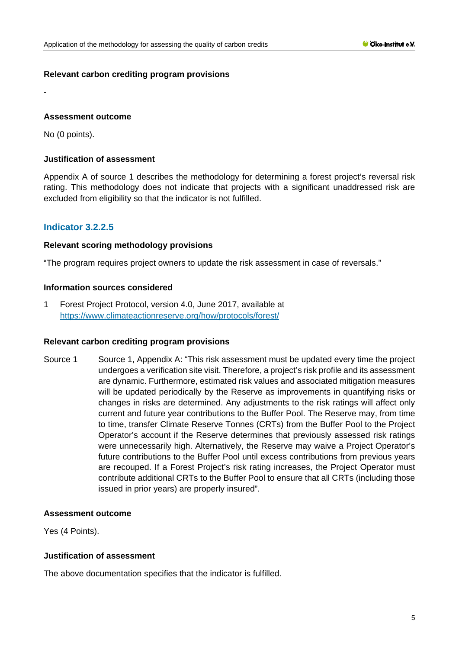# **Relevant carbon crediting program provisions**

### **Assessment outcome**

No (0 points).

-

## **Justification of assessment**

Appendix A of source 1 describes the methodology for determining a forest project's reversal risk rating. This methodology does not indicate that projects with a significant unaddressed risk are excluded from eligibility so that the indicator is not fulfilled.

# **Indicator 3.2.2.5**

### **Relevant scoring methodology provisions**

"The program requires project owners to update the risk assessment in case of reversals."

### **Information sources considered**

1 Forest Project Protocol, version 4.0, June 2017, available at <https://www.climateactionreserve.org/how/protocols/forest/>

#### **Relevant carbon crediting program provisions**

Source 1 Source 1, Appendix A: "This risk assessment must be updated every time the project undergoes a verification site visit. Therefore, a project's risk profile and its assessment are dynamic. Furthermore, estimated risk values and associated mitigation measures will be updated periodically by the Reserve as improvements in quantifying risks or changes in risks are determined. Any adjustments to the risk ratings will affect only current and future year contributions to the Buffer Pool. The Reserve may, from time to time, transfer Climate Reserve Tonnes (CRTs) from the Buffer Pool to the Project Operator's account if the Reserve determines that previously assessed risk ratings were unnecessarily high. Alternatively, the Reserve may waive a Project Operator's future contributions to the Buffer Pool until excess contributions from previous years are recouped. If a Forest Project's risk rating increases, the Project Operator must contribute additional CRTs to the Buffer Pool to ensure that all CRTs (including those issued in prior years) are properly insured".

### **Assessment outcome**

Yes (4 Points).

# **Justification of assessment**

The above documentation specifies that the indicator is fulfilled.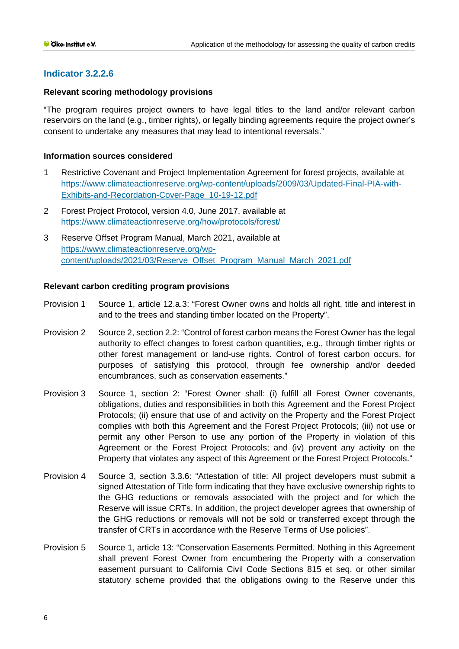# **Indicator 3.2.2.6**

## **Relevant scoring methodology provisions**

"The program requires project owners to have legal titles to the land and/or relevant carbon reservoirs on the land (e.g., timber rights), or legally binding agreements require the project owner's consent to undertake any measures that may lead to intentional reversals."

## **Information sources considered**

- 1 Restrictive Covenant and Project Implementation Agreement for forest projects, available at [https://www.climateactionreserve.org/wp-content/uploads/2009/03/Updated-Final-PIA-with-](https://www.climateactionreserve.org/wp-content/uploads/2009/03/Updated-Final-PIA-with-Exhibits-and-Recordation-Cover-Page_10-19-12.pdf)[Exhibits-and-Recordation-Cover-Page\\_10-19-12.pdf](https://www.climateactionreserve.org/wp-content/uploads/2009/03/Updated-Final-PIA-with-Exhibits-and-Recordation-Cover-Page_10-19-12.pdf)
- 2 Forest Project Protocol, version 4.0, June 2017, available at <https://www.climateactionreserve.org/how/protocols/forest/>
- 3 Reserve Offset Program Manual, March 2021, available at [https://www.climateactionreserve.org/wp](https://www.climateactionreserve.org/wp-content/uploads/2021/03/Reserve_Offset_Program_Manual_March_2021.pdf)[content/uploads/2021/03/Reserve\\_Offset\\_Program\\_Manual\\_March\\_2021.pdf](https://www.climateactionreserve.org/wp-content/uploads/2021/03/Reserve_Offset_Program_Manual_March_2021.pdf)

# **Relevant carbon crediting program provisions**

- Provision 1 Source 1, article 12.a.3: "Forest Owner owns and holds all right, title and interest in and to the trees and standing timber located on the Property".
- Provision 2 Source 2, section 2.2: "Control of forest carbon means the Forest Owner has the legal authority to effect changes to forest carbon quantities, e.g., through timber rights or other forest management or land-use rights. Control of forest carbon occurs, for purposes of satisfying this protocol, through fee ownership and/or deeded encumbrances, such as conservation easements."
- Provision 3 Source 1, section 2: "Forest Owner shall: (i) fulfill all Forest Owner covenants, obligations, duties and responsibilities in both this Agreement and the Forest Project Protocols; (ii) ensure that use of and activity on the Property and the Forest Project complies with both this Agreement and the Forest Project Protocols; (iii) not use or permit any other Person to use any portion of the Property in violation of this Agreement or the Forest Project Protocols; and (iv) prevent any activity on the Property that violates any aspect of this Agreement or the Forest Project Protocols."
- Provision 4 Source 3, section 3.3.6: "Attestation of title: All project developers must submit a signed Attestation of Title form indicating that they have exclusive ownership rights to the GHG reductions or removals associated with the project and for which the Reserve will issue CRTs. In addition, the project developer agrees that ownership of the GHG reductions or removals will not be sold or transferred except through the transfer of CRTs in accordance with the Reserve Terms of Use policies".
- Provision 5 Source 1, article 13: "Conservation Easements Permitted. Nothing in this Agreement shall prevent Forest Owner from encumbering the Property with a conservation easement pursuant to California Civil Code Sections 815 et seq. or other similar statutory scheme provided that the obligations owing to the Reserve under this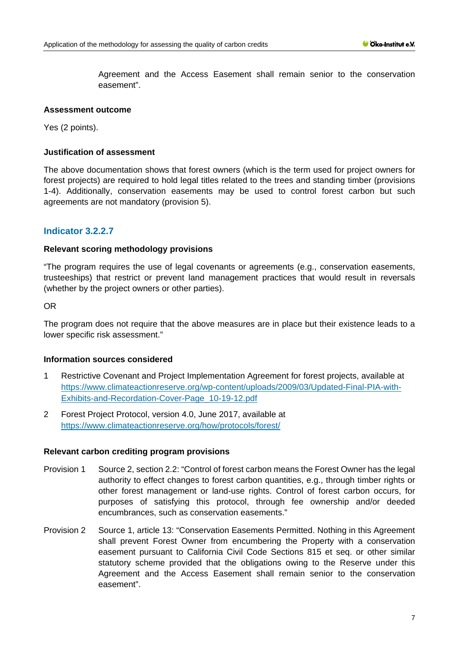Agreement and the Access Easement shall remain senior to the conservation easement".

#### **Assessment outcome**

Yes (2 points).

#### **Justification of assessment**

The above documentation shows that forest owners (which is the term used for project owners for forest projects) are required to hold legal titles related to the trees and standing timber (provisions 1-4). Additionally, conservation easements may be used to control forest carbon but such agreements are not mandatory (provision 5).

# **Indicator 3.2.2.7**

### **Relevant scoring methodology provisions**

"The program requires the use of legal covenants or agreements (e.g., conservation easements, trusteeships) that restrict or prevent land management practices that would result in reversals (whether by the project owners or other parties).

OR

The program does not require that the above measures are in place but their existence leads to a lower specific risk assessment."

#### **Information sources considered**

- 1 Restrictive Covenant and Project Implementation Agreement for forest projects, available at [https://www.climateactionreserve.org/wp-content/uploads/2009/03/Updated-Final-PIA-with-](https://www.climateactionreserve.org/wp-content/uploads/2009/03/Updated-Final-PIA-with-Exhibits-and-Recordation-Cover-Page_10-19-12.pdf)[Exhibits-and-Recordation-Cover-Page\\_10-19-12.pdf](https://www.climateactionreserve.org/wp-content/uploads/2009/03/Updated-Final-PIA-with-Exhibits-and-Recordation-Cover-Page_10-19-12.pdf)
- 2 Forest Project Protocol, version 4.0, June 2017, available at <https://www.climateactionreserve.org/how/protocols/forest/>

#### **Relevant carbon crediting program provisions**

- Provision 1 Source 2, section 2.2: "Control of forest carbon means the Forest Owner has the legal authority to effect changes to forest carbon quantities, e.g., through timber rights or other forest management or land-use rights. Control of forest carbon occurs, for purposes of satisfying this protocol, through fee ownership and/or deeded encumbrances, such as conservation easements."
- Provision 2 Source 1, article 13: "Conservation Easements Permitted. Nothing in this Agreement shall prevent Forest Owner from encumbering the Property with a conservation easement pursuant to California Civil Code Sections 815 et seq. or other similar statutory scheme provided that the obligations owing to the Reserve under this Agreement and the Access Easement shall remain senior to the conservation easement".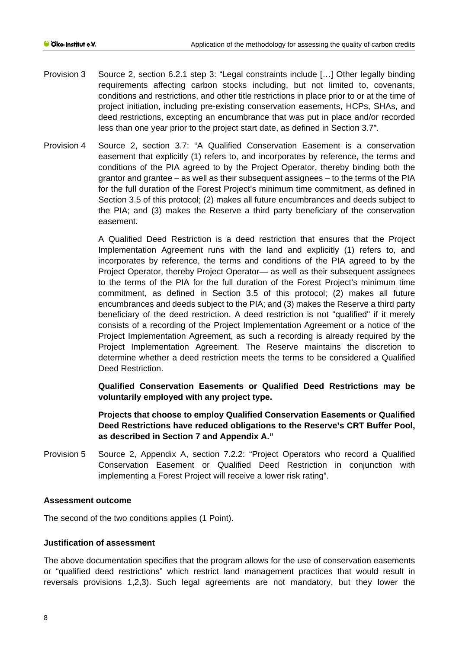- Provision 3 Source 2, section 6.2.1 step 3: "Legal constraints include […] Other legally binding requirements affecting carbon stocks including, but not limited to, covenants, conditions and restrictions, and other title restrictions in place prior to or at the time of project initiation, including pre-existing conservation easements, HCPs, SHAs, and deed restrictions, excepting an encumbrance that was put in place and/or recorded less than one year prior to the project start date, as defined in Section 3.7".
- Provision 4 Source 2, section 3.7: "A Qualified Conservation Easement is a conservation easement that explicitly (1) refers to, and incorporates by reference, the terms and conditions of the PIA agreed to by the Project Operator, thereby binding both the grantor and grantee – as well as their subsequent assignees – to the terms of the PIA for the full duration of the Forest Project's minimum time commitment, as defined in Section 3.5 of this protocol; (2) makes all future encumbrances and deeds subject to the PIA; and (3) makes the Reserve a third party beneficiary of the conservation easement.

A Qualified Deed Restriction is a deed restriction that ensures that the Project Implementation Agreement runs with the land and explicitly (1) refers to, and incorporates by reference, the terms and conditions of the PIA agreed to by the Project Operator, thereby Project Operator— as well as their subsequent assignees to the terms of the PIA for the full duration of the Forest Project's minimum time commitment, as defined in Section 3.5 of this protocol; (2) makes all future encumbrances and deeds subject to the PIA; and (3) makes the Reserve a third party beneficiary of the deed restriction. A deed restriction is not "qualified" if it merely consists of a recording of the Project Implementation Agreement or a notice of the Project Implementation Agreement, as such a recording is already required by the Project Implementation Agreement. The Reserve maintains the discretion to determine whether a deed restriction meets the terms to be considered a Qualified Deed Restriction.

**Qualified Conservation Easements or Qualified Deed Restrictions may be voluntarily employed with any project type.** 

**Projects that choose to employ Qualified Conservation Easements or Qualified Deed Restrictions have reduced obligations to the Reserve's CRT Buffer Pool, as described in Section 7 and Appendix A."**

Provision 5 Source 2, Appendix A, section 7.2.2: "Project Operators who record a Qualified Conservation Easement or Qualified Deed Restriction in conjunction with implementing a Forest Project will receive a lower risk rating".

#### **Assessment outcome**

The second of the two conditions applies (1 Point).

#### **Justification of assessment**

The above documentation specifies that the program allows for the use of conservation easements or "qualified deed restrictions" which restrict land management practices that would result in reversals provisions 1,2,3). Such legal agreements are not mandatory, but they lower the